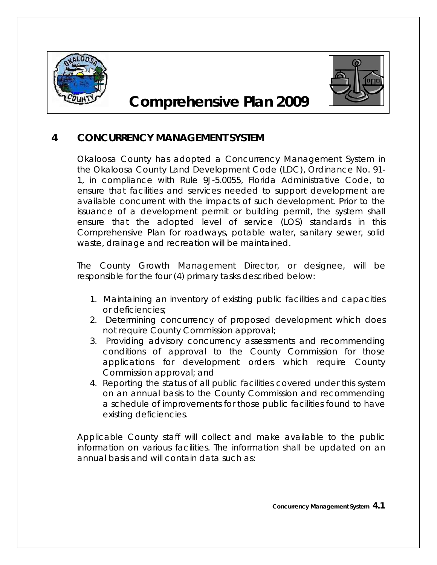



# **Comprehensive Plan 2009**

# **4 CONCURRENCY MANAGEMENT SYSTEM**

Okaloosa County has adopted a Concurrency Management System in the Okaloosa County Land Development Code (LDC), Ordinance No. 91- 1, in compliance with Rule 9J-5.0055, Florida Administrative Code, to ensure that facilities and services needed to support development are available concurrent with the impacts of such development. Prior to the issuance of a development permit or building permit, the system shall ensure that the adopted level of service (LOS) standards in this Comprehensive Plan for roadways, potable water, sanitary sewer, solid waste, drainage and recreation will be maintained.

The County Growth Management Director, or designee, will be responsible for the four (4) primary tasks described below:

- 1. Maintaining an inventory of existing public facilities and capacities or deficiencies;
- 2. Determining concurrency of proposed development which does not require County Commission approval;
- 3. Providing advisory concurrency assessments and recommending conditions of approval to the County Commission for those applications for development orders which require County Commission approval; and
- 4. Reporting the status of all public facilities covered under this system on an annual basis to the County Commission and recommending a schedule of improvements for those public facilities found to have existing deficiencies.

Applicable County staff will collect and make available to the public information on various facilities. The information shall be updated on an annual basis and will contain data such as: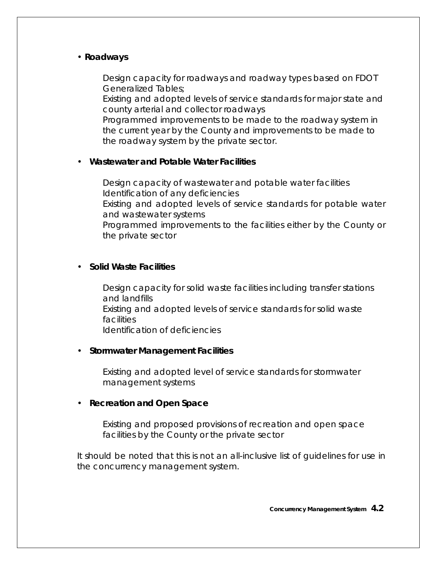# • *Roadways*

Design capacity for roadways and roadway types based on FDOT Generalized Tables;

Existing and adopted levels of service standards for major state and county arterial and collector roadways

Programmed improvements to be made to the roadway system in the current year by the County and improvements to be made to the roadway system by the private sector.

# • *Wastewater and Potable Water Facilities*

Design capacity of wastewater and potable water facilities Identification of any deficiencies Existing and adopted levels of service standards for potable water and wastewater systems Programmed improvements to the facilities either by the County or the private sector

#### • *Solid Waste Facilities*

Design capacity for solid waste facilities including transfer stations and landfills Existing and adopted levels of service standards for solid waste **facilities** Identification of deficiencies

#### • *Stormwater Management Facilities*

Existing and adopted level of service standards for stormwater management systems

#### • *Recreation and Open Space*

Existing and proposed provisions of recreation and open space facilities by the County or the private sector

It should be noted that this is not an all-inclusive list of guidelines for use in the concurrency management system.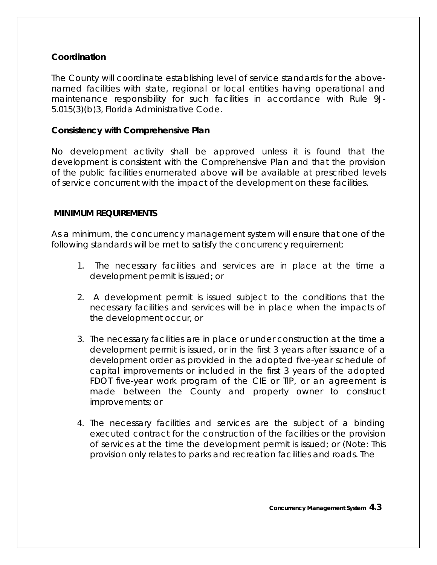# **Coordination**

The County will coordinate establishing level of service standards for the abovenamed facilities with state, regional or local entities having operational and maintenance responsibility for such facilities in accordance with Rule 9J-5.015(3)(b)3, Florida Administrative Code.

## **Consistency with Comprehensive Plan**

No development activity shall be approved unless it is found that the development is consistent with the Comprehensive Plan and that the provision of the public facilities enumerated above will be available at prescribed levels of service concurrent with the impact of the development on these facilities.

# **MINIMUM REQUIREMENTS**

As a minimum, the concurrency management system will ensure that one of the following standards will be met to satisfy the concurrency requirement:

- 1. The necessary facilities and services are in place at the time a development permit is issued; or
- 2. A development permit is issued subject to the conditions that the necessary facilities and services will be in place when the impacts of the development occur, or
- 3. The necessary facilities are in place or under construction at the time a development permit is issued, or in the first 3 years after issuance of a development order as provided in the adopted five-year schedule of capital improvements or included in the first 3 years of the adopted FDOT five-year work program of the CIE or TIP, or an agreement is made between the County and property owner to construct improvements; or
- 4. The necessary facilities and services are the subject of a binding executed contract for the construction of the facilities or the provision of services at the time the development permit is issued; or (Note: This provision only relates to parks and recreation facilities and roads. The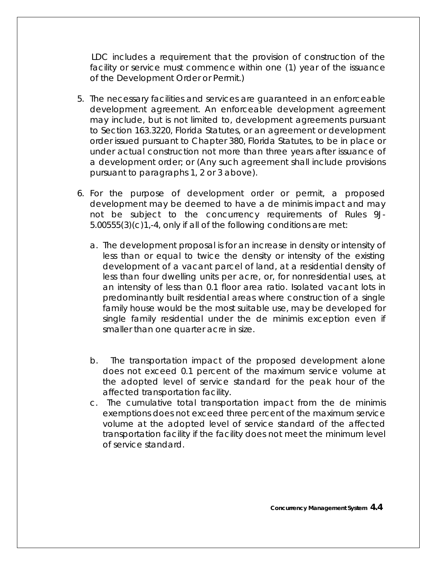LDC includes a requirement that the provision of construction of the facility or service must commence within one (1) year of the issuance of the Development Order or Permit.)

- 5. The necessary facilities and services are guaranteed in an enforceable development agreement. An enforceable development agreement may include, but is not limited to, development agreements pursuant to Section 163.3220, Florida Statutes, or an agreement or development order issued pursuant to Chapter 380, Florida Statutes, to be in place or under actual construction not more than three years after issuance of a development order; or (Any such agreement shall include provisions pursuant to paragraphs 1, 2 or 3 above).
- 6. For the purpose of development order or permit, a proposed development may be deemed to have a de minimis impact and may not be subject to the concurrency requirements of Rules 9J-5.00555(3)(c)1,-4, only if all of the following conditions are met:
	- a. The development proposal is for an increase in density or intensity of less than or equal to twice the density or intensity of the existing development of a vacant parcel of land, at a residential density of less than four dwelling units per acre, or, for nonresidential uses, at an intensity of less than 0.1 floor area ratio. Isolated vacant lots in predominantly built residential areas where construction of a single family house would be the most suitable use, may be developed for single family residential under the de minimis exception even if smaller than one quarter acre in size.
	- b. The transportation impact of the proposed development alone does not exceed 0.1 percent of the maximum service volume at the adopted level of service standard for the peak hour of the affected transportation facility.
	- c. The cumulative total transportation impact from the de minimis exemptions does not exceed three percent of the maximum service volume at the adopted level of service standard of the affected transportation facility if the facility does not meet the minimum level of service standard.